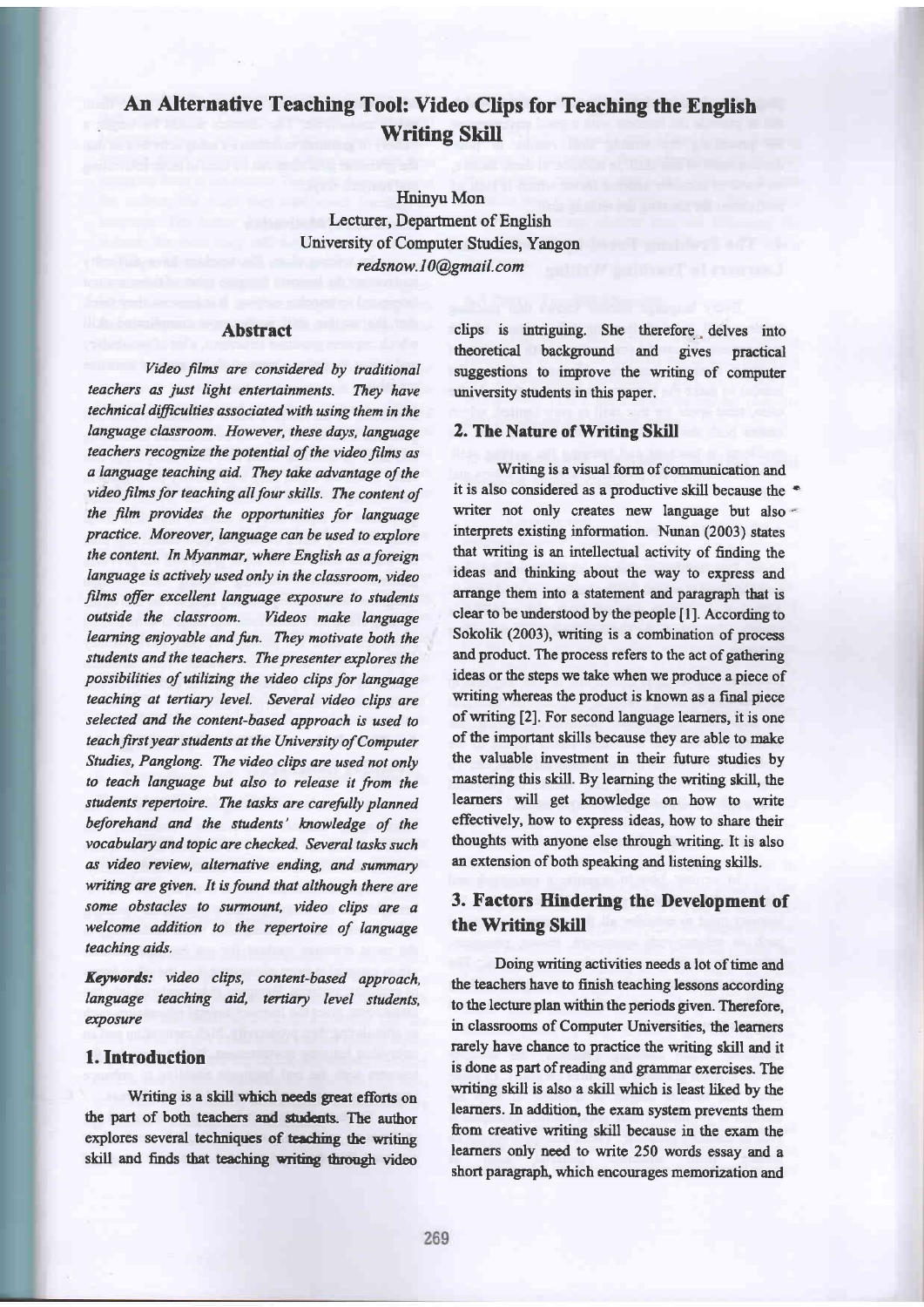# An Alternative Teaching Tool: Video Clips for Teaching the English Writing Skill

Hninyu Mon Lecturer, Department of English University of Computer Studies, Yangon redsnow.l0@gmail.com

## Abstract

Video films are considered by traditional teachers as just light entertainments. They have technical difficulties associated with using them in the language classroom. However, these days, language teachers recognize the potential of the video films as a language teaching aid. They take advantage of the video films for teaching all four skills. The content of the film provides the opportunities for language practice. Moreover, language can be wed to explore the content. In Myanmar, where English as a foreign language is actively used only in the classroom, video films offer excellent language exposure to students outside the classroom. Videos make language learning enjoyable and fun. They mativate both the students and the teachers. The presenter explores the possibilities of utilizing the video clips for language teaching at tertiary level. Several video clips are selected and the content-based approach is used to teach first year students at the University of Computer Studies, Panglong. The video clips are used not only to teach language but also to release it from the students repertoire. The tasks are carefully planned beforehand and the students' knowledge of the vocabulary and topic are checked. Several tasks such as video review, alternative ending, and summary writing are given. It is found that although there are some obstacles to surmount, video clips are <sup>a</sup> welcome addition to the repertoire of language teaching aids.

Keywords: video clips, content-based approach, language teaching aid, tertiary level students, exposure

# l.Introduction

Writing is a skill which needs great efforts on the part of both teachers and students. The author explores several techniques of teaching the writing skill and finds that teaching writing through video clips is intriguing. She therefore delves into theoretical background and gives practical suggestions to improve the writing of computer university students in this paper.

#### 2. The Nature of Writing Skill

Writing is a visual form of communication and it is also considered as a productive skill because the ' writer not only creates new language but also interprets existing information. Nunan (2003) states that writing is an intellectual activity of finding the ideas and thinking about the way to express and arrange them into a statement and paragraph that is clear to be understood by the people [1]. According to Sokolik (2003), uriting is a combination of process and product. The process refers to the act of gathering ideas or the steps we take when we produce a piece of writing whereas the product is known as a final piece ofwriting [2]. For second language learners, it is one of the important skills because they are able to make the valuable investment in their future studies by mastering this skill. By leaming the writing skill, the learners will get knowledge on how to write effectively, how to express ideas, how to share their thoughts with anyone else through writing. It is also an extension of both speaking and listening skills.

# 3. Factors Hindering the Development of the Writing Skill

Doing writing activities needs a lot of time and the teachers have to finish teaching lessons according to the lecture plan within the periods given. Therefore, in classrooms of Computer Universities, the learners rarely have chance to practice the writing skill and it is done as part of reading and grammar exercises. The writing skill is also a skill which is least liked by the learners. In addition, the exam system prevents them from creative witing skill because in the exam the learners only need to write 250 words essay and a short paragraph, which encourages memorization and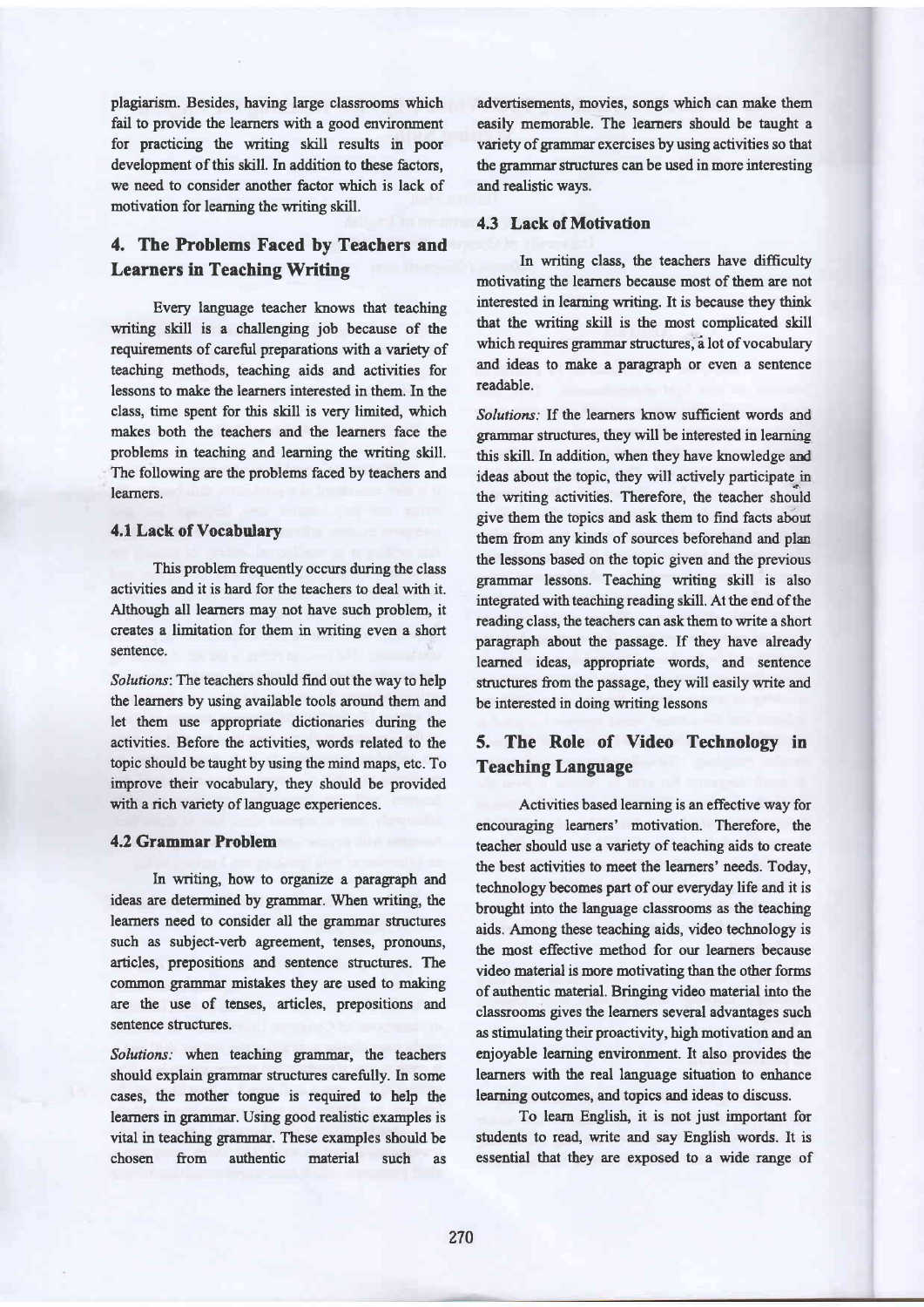plagiarism. Besides, having large classrooms which fail to provide the learners with a good environment for practicing the uniting shll results in poor development of this skill. In addition to these factors, we need to consider another factor which is lack of motivation for learning the writing skill.

# 4, The Problems Faced by Teachers and Learners in Teaching Writing

Every language teacher knows that teaching writing skill is a challenging job because of the requirements of careful preparations with a variety of teaching methods, teaching aids and activities for lessons to make the leamers interested in them. In the class, time spent for this skill is very limited, which makes both the teachers and the learners face the problems in teaching and learning the writing skill. The following are the problems faced by teachers and learners.

### 4.1 Lack of Vocabulary

This problem frequently occurs during the class activities and it is hard for the teachers to deal with it. Although all learners may not have such problem, it creates a limitation for them in writing even a short sentence.

Solutions: The teachers should find out the way to help the leamers by using available tools around them and let them use appropriate dictionaries during the activities. Before the activities, words related to the topic should be taught by using the mind maps, etc. To improve their vocabulary, they should be provided with a rich variety of language experiences.

### 4.2 Grammar Problem

In writing, how to organize a paragraph and ideas are determined by grammar. When uriting, the learners need to consider all the grammar structures such as subject-verb agreement, tenses, pronouns, articles, prepositions and sentence structures. The common grammax mistakes they are used to making are the use of tenses, articles, prepositions and sentence structures.

Solutions: when teaching grammar, the teachers should explain grammar structures carefully. In some cases, the mother tongue is required to help the learners in grammar. Using good realistic examples is vital in teaching grammar. These examples should be chosen from authentic material such as

advertisements, movies, songs which can make them easily memorable. The learaers should be taught a variety of grammar exercises by using activities so that the grammar structures can be used in more interesting and realistic ways.

### 4.3 Lack of Motivation

In writing class, the teachers have difficulty motivating the learners because most of them are not interested in learning writing. It is because they think that the witing skill is the most complicated skill which requires grammar structures, a lot of vocabulary and ideas to make a paragraph or even a sentence readable.

Solutions: If the learners know sufficient words and grammar structures, they will be interested in learning this skill. In addition, when they have knowledge and ideas about the topic, they will actively participate in the writing activities. Therefore, the teacher should give them the topics and ask them to find facts abou them from any kinds of sources beforehand and plan the lessons based on the topic given and the previous grammar lessons. Teaching writing skill is also integrated with teaching reading skill. At the end of the reading class, the teachers can ask them to write a short paragraph about the passage. If they have already learned ideas, appropriate words, and sentence structures from the passage, they will easily write and be interested in doing writing lessons

# 5. The Role of Video Technology in Teaching Language

Activities based learning is an effective way for encouraging learners' motivation. Therefore, the teacher should use a variety of teaching aids to create the best activities to meet the learners' needs. Today, technology becomes part of our everydzy life and it is brought into the language classrooms as the teaching aids. Anong these teaching aids, video technology is the most effective method for our learners because video material is more motivating than the other forms of authentic material. Bringing video material into the classrooms gives the learners several advantages zuch as stimulating their proactivity, high motivation and an enjoyable learning environment. It also provides the learners with the real language situation to enhance learning outcomes, and topics and ideas to discuss.

To learn English, it is not just important for students to read, write and say English words. It is essential that they are exposed to a wide range of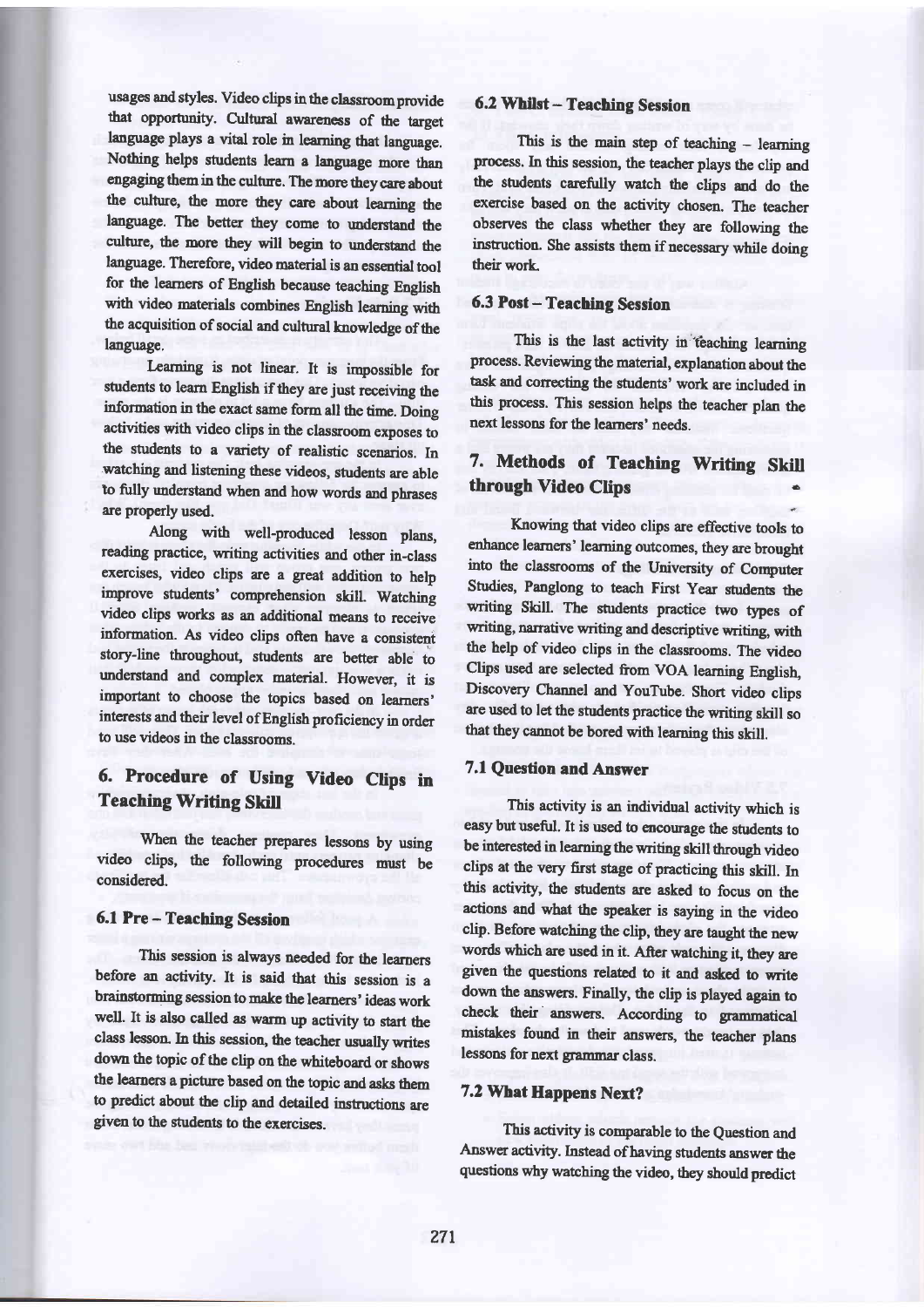usages and styles. Video clips in the classroom provide that opportunity. Cultural awareness of the target language plays a vital role in learning that language. Nothing helps students leam a language more than engaging them in the culture. The more they care about the culture, the more they care about learning the language. The better they come to understand the culture, the more they will begin to understand the language. Therefore, video material is an essential tool for the learners of English because teaching English with video materials combines English learning with the acquisition of social and cultural knowledge of the language.

Learning is not linear. It is impossible for students to learn English if they are just receiving the information in the exact same form all the time. Doing activities with video clips in the classroom exposes to the students to a variety of realistic scenarios. In watching and listening these videos, students are able to fully understand when and how words and phrases are properly used.

Along with well-produced lesson plans, reading practice, writing activities and other in-class exercises, video clips are a great addition to help improve students' comprehension skill. Watching video clips works as an additional means to receive information. As video clips often have a consistent story-line throughout, students are better able to understand and complex material. However, it is important to choose the topics based on learners' interests and their level of English proficiency in order to use videos in the classrooms.

# 6. Procedure of Using Video Clips in **Teaching Writing Skill**

When the teacher prepares lessons by using video clips, the following procedures must be considered.

### 6.1 Pre - Teaching Session

This session is always needed for the learners before an activity. It is said tbat this session is <sup>a</sup> brainstorming session to make the learners' ideas work well. It is also called as warm up activity to start the class lesson. In this session, the teacher usually writes down the topic of the clip on the whiteboard or shows the learners a picture based on the topic and asks them to predict about the clip and detailed instructions are given to the students to the exercises.

#### 6.2 Whilst - Teaching Session

This is the main step of teaching - learning process. In this session, the teacher plays the clip and the students carefully watch the clips and do the exercise based on the activity chosen. The teacher observes the class whether they are following the instuction. She assists them if necessary while doing their work.

## 6.3 Post - Teaching Session

This is the last activity in teaching learning process. Reviewing the material, explanation about the task and correcting the students' work are included in this process. This session helps the teacher plan the next lessons for the learners' needs.

# 7. Methods of Teaching Writing Skill through Video Clips

Knowing that video clips are effective tools to enhance leamers' leaming outcomes, they are brought into the classrooms of the University of Computer Studies, Panglong to teach First Year students the writing Skill. The students practice two types of writing, narrative writing and descriptive writing, with the help of video clips in the classrooms. The video Clips used are selected from VOA learning English, Discovery Channel and YouTube. Short video clips are used to let the students practice the writing skill so that they cannot be bored with learning this skill.

# 7.1 Questior and Answer

This activity is an individual activity which is easy but useful. It is used to encourage the students to be interested in learning the writing skill through video clips at the very first stage of practicing this skill. In this activity, the students are asked to focus on the actions and what the speaker is saying in the video clip. Before watching the clip, they are taught the new words which are used in it. After watching it, they are given the questions related to it and asked to write down the answers. Finally, the clip is played again to check their answers. According to grammatical mistakes found in their answers, the teacher plans lessons for next grammar class.

### 7.2 What Happens Next?

This activity is comparable to the Question and Answer activity. Instead of having students answer the questions why watching the video, they should predict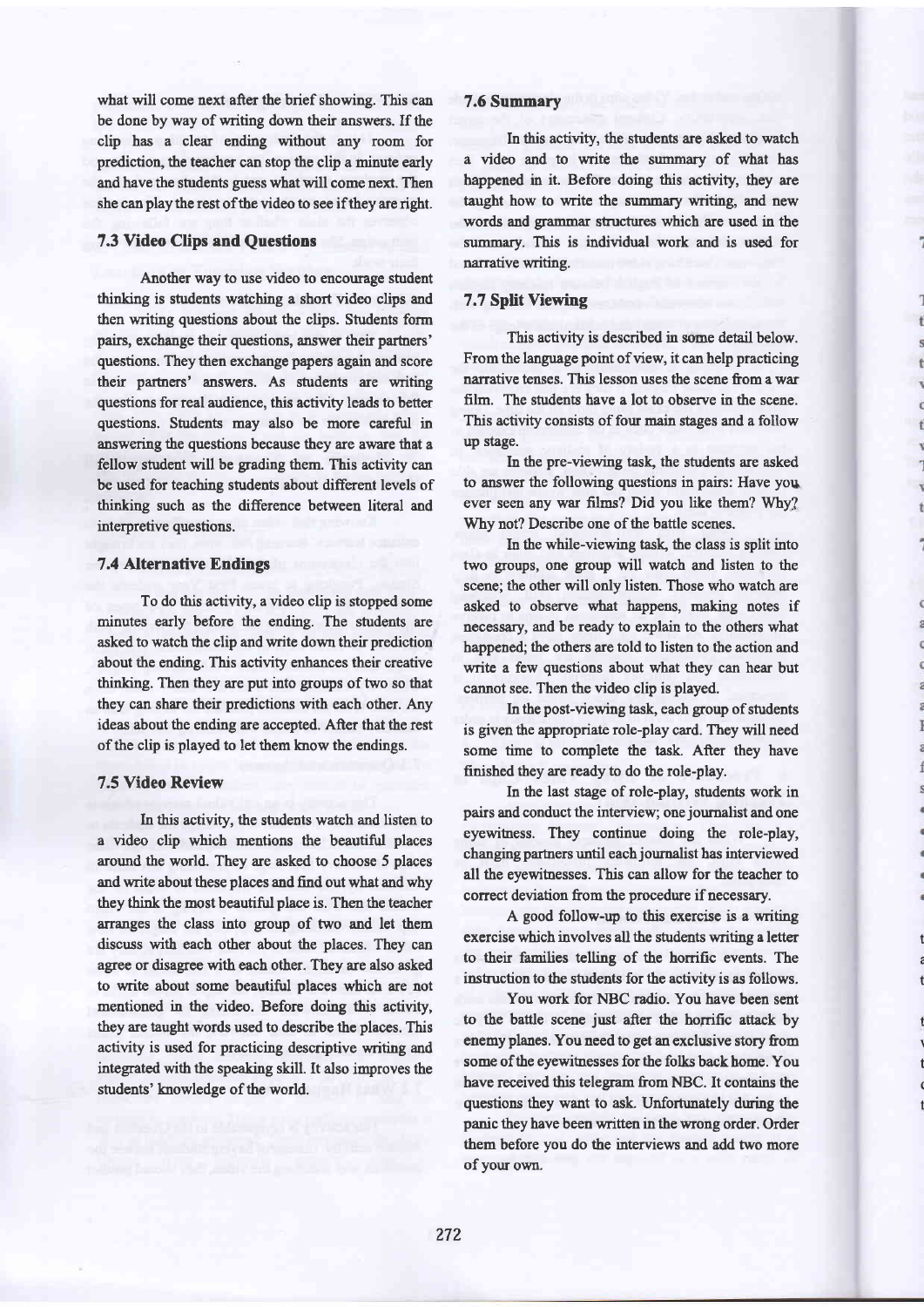what will come next after the brief showing. This can be done by way of writing down their answers. If the clip has a clear ending without any room for prediction, the teacher can stop the clip a minute early and have the students guess what will come next. Then she can play the rest of the video to see if they are right.

## 7.3 Video Clips and Questions

Another way to use video to encourage student thinkiag is students watching a short video clips and then writing questions about the clips. Students form pairs, exchange their questions, answer their partners' questions. They then exchange papers again and score their partners' answers. As students are writing questions for real audience, this activity leads to better questions. Students may also be more careful in answering the questions because they are aware that a fellow student will be gading them. This activity can be used for teaching students about different levels of thinking such as the difference between literal and interpretive questions.

## 7.4 Alternative Endings

To do this activity, a video clip is stopped some minutes early before the ending. The students are asked to watch the clip and write down their prediction about the ending. This activity enhances their creative thinking. Then they are put into groups of two so that they can share their predictions with each other. Any ideas about the ending are accepted. After that the rest of the clip is played to let thern krow the endings.

# 7.5 Video Review

In this activity, the students watch and listen to a video clip which mentions the beautiful places around the world. They are asked to choose 5 places and write about these places and find out what and why they think the most beautiful place is. Then the teacher aranges the class into group of two and let them discuss with each other about the places. They can agree or disagree with each other. They are also asked to write about some beautiful places which are not mentioned in the video. Before doing this activity, they are taught words used to describe the places. This activity is used for practicing descriptive writing and integrated with the speaking skill. It also improves the students' knowledge of the world.

## 7.6 Summary

In this activity, the students are asked to watch a video and to write the summary of what has happened in it. Before doing this activity, they are taught how to write the summary writing, and new words and grammar stuctures which are used in the summary. This is individual work and is used for narrative vriting.

## 7.7 Split Viewing

This activity is described in some detail below. From the language point of view, it can help practicing narative tenses. This lesson uses the scene from a war film. The students have a lot to observe in the scene. This activity consists of four main stages and a follow up stage.

In the pre-viewing task, the students are asked to answer the following questions in pairs: Have you ever seen any war films? Did you like them? Why? Why not? Describe one of the battle scenes.

In the while-viewing task, the class is split into two groups, one group will watch and listen to the scene; the other will only listen. Those who watch are asked to observe what happens, making notes if necessary, and be ready to explain to the others what happened; the others are told to listen to the action and write a few questions about what they can hear but cannot see. Then the video clip is played.

In the post-viewing task, each group of students is given the appropriate role-play card. They will need some time to complete the task. After they have finished they are ready to do the role-play.

In the last stage of role-play, students work in pairs and conduct the interview; one journalist and one eyewihess. They continue doing the role-play, chanqing partners until each journalist has interviewed all the eyewitnesses. This can allow for the teacher to correct deviation from the procedure if necessary.

A good follow-up to this exercise is a writing exercise which involves all the students writing a letter to their families telling of the horrific events. The instuction to the students for the activity is as follows.

t C t

i

 $\overline{a}$ 

an on

 $\begin{array}{c} \hline \end{array}$ 

ĭ

Ĭ

t \ t ( t

You work for NBC radio. You have been sent to the battle scene just after the horrific atiack by enemy planes. You need to get an exclusive story from some of the eyewitnesses for the folls back home. You have received this telegram from NBC. It contains the questions they want to ask. Unfortunately during the panic they have been wriffen in the wrong order. Order them before you do the interviews and add two more ofyour own.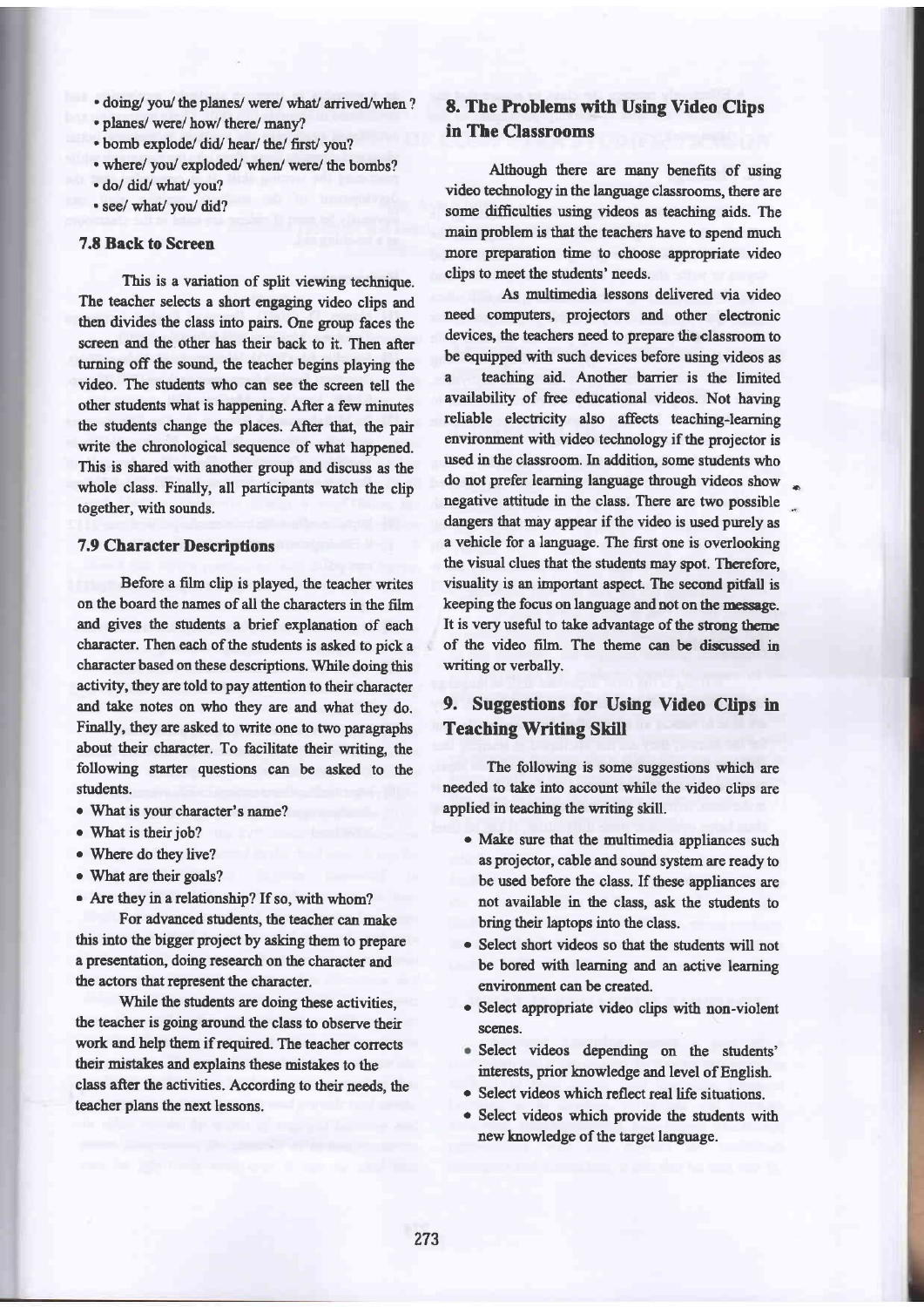. doing/ you/ the planes/ were/ what/ arrived/when?

. planes/ were/ how/ there/ many?

. bomb explode/ did/ hear/ the/ first/ you?

- where/ you/ exploded/ when/ were/ the bombs?
- . do/ did/ what/ you?
- . see/ what/you/ did?

#### 7.8 Back to Screen

This is a variation of split viewing technique. The teacher selects a short engaging video clips and then divides the class into pairs. One group faces the screen and the other has their back to it. Then after turning off the sound, the teacher begins playing the video. The students who can see the screen tell the other students what is happening. After a few minutes the students change the places. After that, the pair write the chronological sequence of what happened. This is shared with another group and discuss as the whole class. Finally, all participants watch the clip together, with sounds.

### 7.9 Character Descriptions

Before a film clip is played, the teacher writes on the board the names of all the characters in the film and gives the students a brief explanation of each character. Then each of the students is asked to pick a character based on these descriptions. While doing this activity, they are told to pay attention to their character and take notes on who they are and what they do. Finally, they are asked to write one to two paragraphs about their character. To facilitate their writing, the following starter questions can be asked to the students.

- What is your character's name?
- What is their job?
- o Where do they live?
- What are their goals?
- Are they in a relationship? If so, with whom?

For advanced students, the teacher can make this into the bigger project by asking them to prepare a presentation, doing research on the character and the actors that represent the character.

While the students are doing these activities, the teacher is going around the class to observe their work and help them if required. The teacher corrects their mistakes and explains these mistakes to the class after the activities. According to their needs, the teacher plans the next lessons.

# 8. The Problems with Using Video Clips in The Classrooms

Although there are many benefits of wing video technology in the language classrooms, there are some difficulties using videos as teaching aids. The main problem is that the teachers have to spend much more preparation time to choose appropriate video clips to mect the students' needs.

As multimedia lessons delivered via video need computers, projectors and other electronic devices, the teachers need to prepare the classroom to be equipped with such devices before using videos as

a teaching aid. Another barrier is the limited availability of free edrcational videos. Not having reliable electicity also affects teaching-learning environment with video technology if the projector is used in the classroom. In addition, some students who do not prefer learning language through videos show i negative attitude in the class. There are two possible dangers that may appear if the video is used purely as a vehicle for a language. The first one is overlooking the visual clues that the students may spot. Therefore, visuality is an important aspect. The second pitfall is keeping the focus on language and not on the message. It is very useful to take advantage of the strong theme of the video film. The theme can be discussed in writing or verbally.

# 9. Suggestions for Using Video Clips in **Teaching Writing Skill**

The following is some suggestions which are needed to take into account while the video clips are applied in teaching the writing skill.

- o Make sure that the multimedia appliances such as projector, cable and sound system are ready to be used before the class. If these appliances are not available in the class, ask the students to bring their laptops into the class.
- . Select short videos so that the students will not be bored with learning and an active learning environnent can be created.
- o Select appropriate video clips with non-violent scenes.
- Select videos depending on the students' interests, prior knowledge and level of English.
- Select videos which reflect real life situations.
- Select videos which provide the students with a newknowledge of the target language.